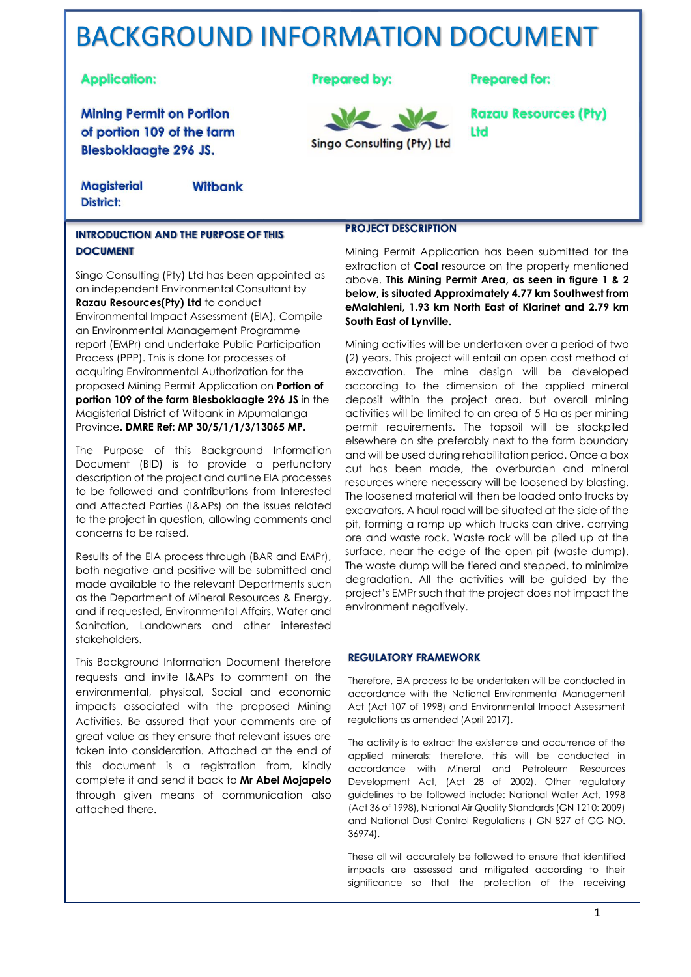# BACKGROUND INFORMATION DOCUMENT

## **Application:**

**Mining Permit on Portion** of portion 109 of the farm **Blesboklaagte 296 JS.** 

**Prepared by:** 



**Razau Resources (Pty)** 

**Prepared for:** 

Ltd

**Magisterial District:** 

**Witbank** 

#### **INTRODUCTION AND THE PURPOSE OF THIS DOCUMENT**

Singo Consulting (Pty) Ltd has been appointed as an independent Environmental Consultant by **Razau Resources(Pty) Ltd** to conduct Environmental Impact Assessment (EIA), Compile an Environmental Management Programme report (EMPr) and undertake Public Participation Process (PPP). This is done for processes of acquiring Environmental Authorization for the proposed Mining Permit Application on **Portion of portion 109 of the farm Blesboklaagte 296 JS** in the Magisterial District of Witbank in Mpumalanga Province**. DMRE Ref: MP 30/5/1/1/3/13065 MP.**

The Purpose of this Background Information Document (BID) is to provide a perfunctory description of the project and outline EIA processes to be followed and contributions from Interested and Affected Parties (I&APs) on the issues related to the project in question, allowing comments and concerns to be raised.

Results of the EIA process through (BAR and EMPr), both negative and positive will be submitted and made available to the relevant Departments such as the Department of Mineral Resources & Energy, and if requested, Environmental Affairs, Water and Sanitation, Landowners and other interested stakeholders.

This Background Information Document therefore requests and invite I&APs to comment on the environmental, physical, Social and economic impacts associated with the proposed Mining Activities. Be assured that your comments are of great value as they ensure that relevant issues are taken into consideration. Attached at the end of this document is a registration from, kindly complete it and send it back to **Mr Abel Mojapelo**  through given means of communication also attached there.

#### **PROJECT DESCRIPTION**

Mining Permit Application has been submitted for the extraction of **Coal** resource on the property mentioned above. **This Mining Permit Area, as seen in figure 1 & 2 below, is situated Approximately 4.77 km Southwest from eMalahleni, 1.93 km North East of Klarinet and 2.79 km South East of Lynville.**

Mining activities will be undertaken over a period of two (2) years. This project will entail an open cast method of excavation. The mine design will be developed according to the dimension of the applied mineral deposit within the project area, but overall mining activities will be limited to an area of 5 Ha as per mining permit requirements. The topsoil will be stockpiled elsewhere on site preferably next to the farm boundary and will be used during rehabilitation period. Once a box cut has been made, the overburden and mineral resources where necessary will be loosened by blasting. The loosened material will then be loaded onto trucks by excavators. A haul road will be situated at the side of the pit, forming a ramp up which trucks can drive, carrying ore and waste rock. Waste rock will be piled up at the surface, near the edge of the open pit (waste dump). The waste dump will be tiered and stepped, to minimize degradation. All the activities will be guided by the project's EMPr such that the project does not impact the environment negatively.

#### **REGULATORY FRAMEWORK**

Therefore, EIA process to be undertaken will be conducted in accordance with the National Environmental Management Act (Act 107 of 1998) and Environmental Impact Assessment regulations as amended (April 2017).

The activity is to extract the existence and occurrence of the applied minerals; therefore, this will be conducted in accordance with Mineral and Petroleum Resources Development Act, (Act 28 of 2002). Other regulatory guidelines to be followed include: National Water Act, 1998 (Act 36 of 1998), National Air Quality Standards (GN 1210: 2009) and National Dust Control Regulations ( GN 827 of GG NO. 36974).

These all will accurately be followed to ensure that identified impacts are assessed and mitigated according to their significance so that the protection of the receiving environment and populations is met.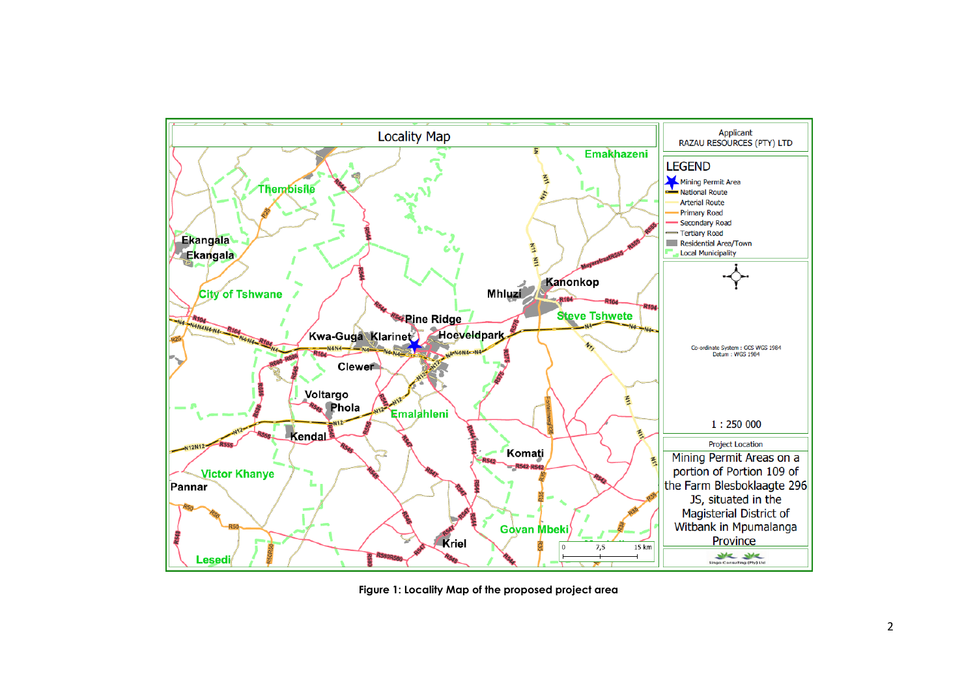

**Figure 1: Locality Map of the proposed project area**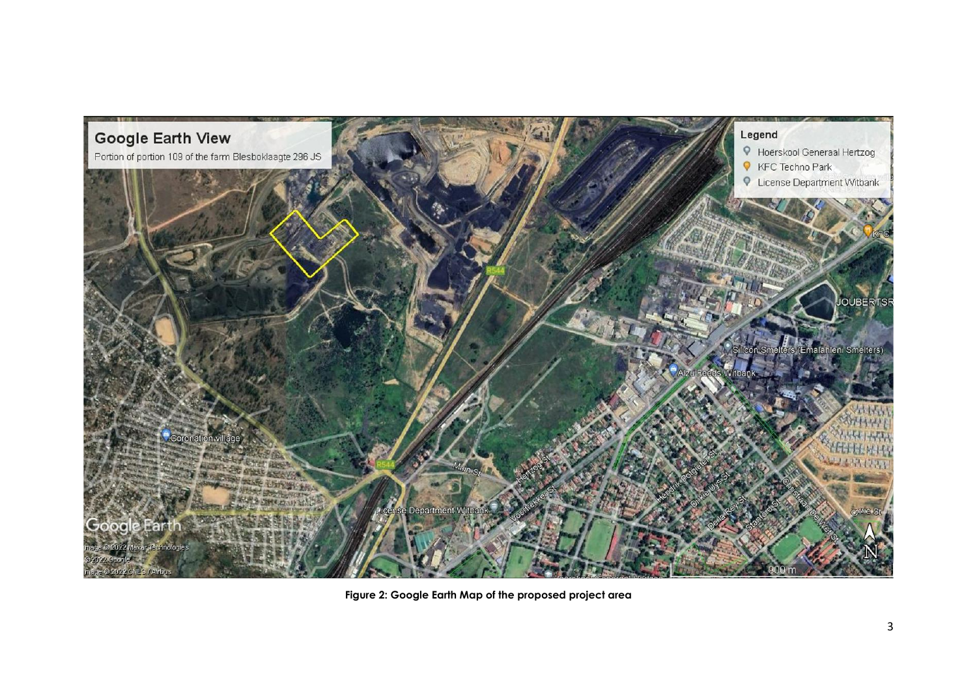

**Figure 2: Google Earth Map of the proposed project area**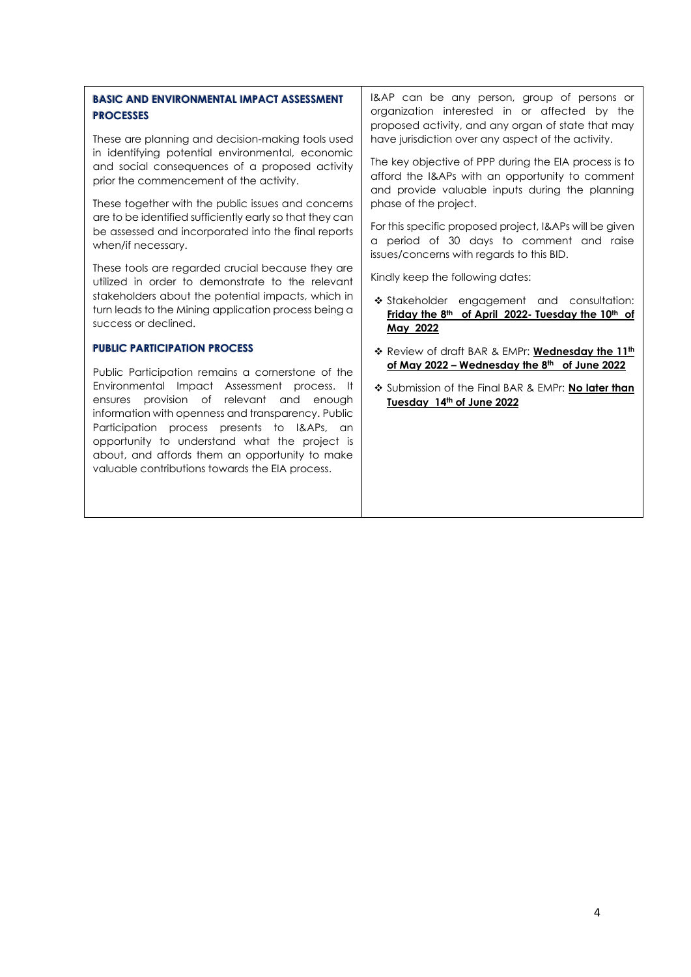#### **BASIC AND ENVIRONMENTAL IMPACT ASSESSMENT PROCESSES**

These are planning and decision-making tools used in identifying potential environmental, economic and social consequences of a proposed activity prior the commencement of the activity.

These together with the public issues and concerns are to be identified sufficiently early so that they can be assessed and incorporated into the final reports when/if necessary.

These tools are regarded crucial because they are utilized in order to demonstrate to the relevant stakeholders about the potential impacts, which in turn leads to the Mining application process being a success or declined.

#### **PUBLIC PARTICIPATION PROCESS**

Public Participation remains a cornerstone of the Environmental Impact Assessment process. It ensures provision of relevant and enough information with openness and transparency. Public Participation process presents to I&APs, an opportunity to understand what the project is about, and affords them an opportunity to make valuable contributions towards the EIA process.

I&AP can be any person, group of persons or organization interested in or affected by the proposed activity, and any organ of state that may have jurisdiction over any aspect of the activity.

The key objective of PPP during the EIA process is to afford the I&APs with an opportunity to comment and provide valuable inputs during the planning phase of the project.

For this specific proposed project, I&APs will be given a period of 30 days to comment and raise issues/concerns with regards to this BID.

Kindly keep the following dates:

- ❖ Stakeholder engagement and consultation: **Friday the 8 th of April 2022- Tuesday the 10th of May 2022**
- ❖ Review of draft BAR & EMPr: **Wednesday the 11th of May 2022 – Wednesday the 8th of June 2022**
- ❖ Submission of the Final BAR & EMPr: **No later than Tuesday 14th of June 2022**